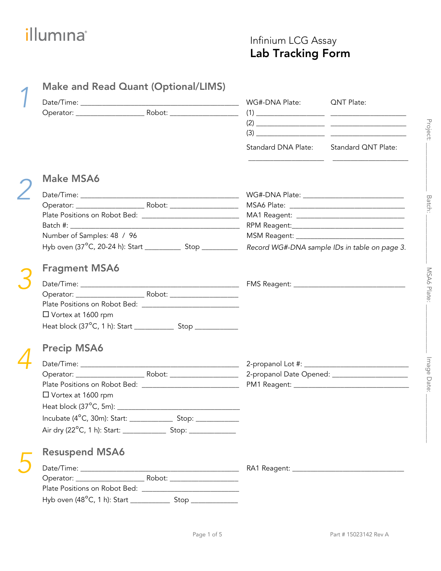### Infinium LCG Assay Lab Tracking Form

|                                                                 |  | WG#-DNA Plate: QNT Plate:               |                                                                                                                                                                                                                                                                                                                                                                                     |
|-----------------------------------------------------------------|--|-----------------------------------------|-------------------------------------------------------------------------------------------------------------------------------------------------------------------------------------------------------------------------------------------------------------------------------------------------------------------------------------------------------------------------------------|
|                                                                 |  |                                         |                                                                                                                                                                                                                                                                                                                                                                                     |
|                                                                 |  |                                         | $(2) \begin{tabular}{@{}c@{}} \hline \rule[1cm]{1cm}{0.4cm} \rule[1cm]{1cm}{0.4cm} \rule[1cm]{1cm}{0.4cm} \rule[1cm]{1cm}{0.4cm} \rule[1cm]{1cm}{0.4cm} \rule[1cm]{1cm}{0.4cm} \rule[1cm]{1cm}{0.4cm} \rule[1cm]{1cm}{0.4cm} \rule[1cm]{1cm}{0.4cm} \rule[1cm]{1cm}{0.4cm} \rule[1cm]{1cm}{0.4cm} \rule[1cm]{1cm}{0.4cm} \rule[1cm]{1cm}{0.4cm} \rule[1cm]{1cm}{0.4cm} \rule[1cm]{$ |
|                                                                 |  |                                         |                                                                                                                                                                                                                                                                                                                                                                                     |
|                                                                 |  | Standard DNA Plate: Standard QNT Plate: |                                                                                                                                                                                                                                                                                                                                                                                     |
| <b>Make MSA6</b>                                                |  |                                         |                                                                                                                                                                                                                                                                                                                                                                                     |
|                                                                 |  |                                         |                                                                                                                                                                                                                                                                                                                                                                                     |
|                                                                 |  |                                         |                                                                                                                                                                                                                                                                                                                                                                                     |
|                                                                 |  |                                         | MA1 Reagent: _________________________________                                                                                                                                                                                                                                                                                                                                      |
|                                                                 |  |                                         |                                                                                                                                                                                                                                                                                                                                                                                     |
| Number of Samples: 48 / 96                                      |  |                                         |                                                                                                                                                                                                                                                                                                                                                                                     |
| Hyb oven (37°C, 20-24 h): Start ______________ Stop ___________ |  |                                         | Record WG#-DNA sample IDs in table on page 3.                                                                                                                                                                                                                                                                                                                                       |
| <b>Fragment MSA6</b>                                            |  |                                         |                                                                                                                                                                                                                                                                                                                                                                                     |
|                                                                 |  |                                         |                                                                                                                                                                                                                                                                                                                                                                                     |
|                                                                 |  |                                         |                                                                                                                                                                                                                                                                                                                                                                                     |
|                                                                 |  |                                         |                                                                                                                                                                                                                                                                                                                                                                                     |
| □ Vortex at 1600 rpm                                            |  |                                         |                                                                                                                                                                                                                                                                                                                                                                                     |
|                                                                 |  |                                         |                                                                                                                                                                                                                                                                                                                                                                                     |
| <b>Precip MSA6</b>                                              |  |                                         |                                                                                                                                                                                                                                                                                                                                                                                     |
|                                                                 |  |                                         |                                                                                                                                                                                                                                                                                                                                                                                     |
|                                                                 |  |                                         | 2-propanol Date Opened: _____________________                                                                                                                                                                                                                                                                                                                                       |
|                                                                 |  |                                         |                                                                                                                                                                                                                                                                                                                                                                                     |
| $\Box$ Vortex at 1600 rpm                                       |  |                                         |                                                                                                                                                                                                                                                                                                                                                                                     |
|                                                                 |  |                                         |                                                                                                                                                                                                                                                                                                                                                                                     |
|                                                                 |  |                                         |                                                                                                                                                                                                                                                                                                                                                                                     |
|                                                                 |  |                                         |                                                                                                                                                                                                                                                                                                                                                                                     |
| <b>Resuspend MSA6</b>                                           |  |                                         |                                                                                                                                                                                                                                                                                                                                                                                     |
|                                                                 |  |                                         |                                                                                                                                                                                                                                                                                                                                                                                     |
|                                                                 |  |                                         |                                                                                                                                                                                                                                                                                                                                                                                     |
|                                                                 |  |                                         |                                                                                                                                                                                                                                                                                                                                                                                     |
|                                                                 |  |                                         |                                                                                                                                                                                                                                                                                                                                                                                     |

Project: \_\_\_\_\_\_\_\_\_\_\_\_\_\_\_ Batch: \_\_\_\_\_\_\_\_\_\_\_\_\_\_\_ MSA6 Plate: \_\_\_\_\_\_\_\_\_\_\_\_\_\_\_ Image Date: \_\_\_\_\_\_\_\_\_\_\_\_\_\_\_

MSA6 Plate:

Image Date:

Project:

Batch: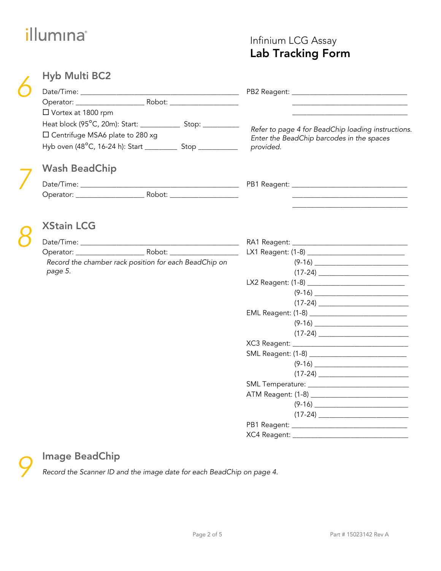## Infinium LCG Assay Lab Tracking Form

| <b>Hyb Multi BC2</b>                                                             |                                                                                                 |  |
|----------------------------------------------------------------------------------|-------------------------------------------------------------------------------------------------|--|
|                                                                                  |                                                                                                 |  |
|                                                                                  |                                                                                                 |  |
| □ Vortex at 1800 rpm                                                             |                                                                                                 |  |
| Heat block (95°C, 20m): Start: ________________ Stop: ____________               |                                                                                                 |  |
| □ Centrifuge MSA6 plate to 280 xg                                                | Refer to page 4 for BeadChip loading instructions.<br>Enter the BeadChip barcodes in the spaces |  |
| Hyb oven (48°C, 16-24 h): Start _______________ Stop ___________________________ | provided.                                                                                       |  |
| <b>Wash BeadChip</b>                                                             |                                                                                                 |  |
|                                                                                  |                                                                                                 |  |
|                                                                                  |                                                                                                 |  |
|                                                                                  |                                                                                                 |  |
| <b>XStain LCG</b>                                                                |                                                                                                 |  |
|                                                                                  |                                                                                                 |  |
|                                                                                  | LX1 Reagent: (1-8) ________________________________                                             |  |
| Record the chamber rack position for each BeadChip on                            |                                                                                                 |  |
| page 5.                                                                          |                                                                                                 |  |
|                                                                                  |                                                                                                 |  |
|                                                                                  |                                                                                                 |  |
|                                                                                  |                                                                                                 |  |
|                                                                                  |                                                                                                 |  |
|                                                                                  |                                                                                                 |  |
|                                                                                  |                                                                                                 |  |
|                                                                                  |                                                                                                 |  |
|                                                                                  |                                                                                                 |  |
|                                                                                  |                                                                                                 |  |
|                                                                                  |                                                                                                 |  |
|                                                                                  |                                                                                                 |  |
|                                                                                  |                                                                                                 |  |
|                                                                                  |                                                                                                 |  |
|                                                                                  |                                                                                                 |  |
|                                                                                  |                                                                                                 |  |

## Image BeadChip

Record the Scanner ID and the image date for each BeadChip on page 4.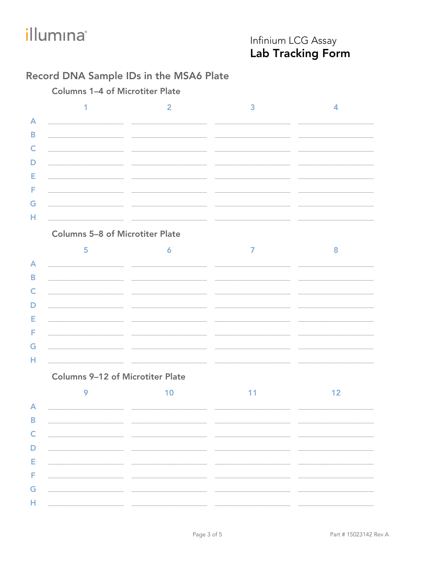## Infinium LCG Assay Lab Tracking Form

### Record DNA Sample IDs in the MSA6 Plate

**Columns 1-4 of Microtiter Plate** 

|   | the control of the control of the control of the control of the control of the control of                             |  |
|---|-----------------------------------------------------------------------------------------------------------------------|--|
| R | <u> 1990 - Johann John Stein, markin fan it ferskearre fan it ferskearre fan it ferskearre fan it ferskearre fan </u> |  |
|   |                                                                                                                       |  |
|   | <u> 1980 - Johann John Stein, mars an deus Amerikaansk kommunister (</u>                                              |  |
|   |                                                                                                                       |  |
|   |                                                                                                                       |  |
|   |                                                                                                                       |  |
|   | <u> 1989 - Johann Harry Harry Harry Harry Harry Harry Harry Harry Harry Harry Harry Harry Harry Harry Harry Harry</u> |  |

#### **Columns 5-8 of Microtiter Plate**

|    | <u> 1980 - Jan Alexander Stadt, fransk konstantin (d. 1980)</u> |                                                                         |  |
|----|-----------------------------------------------------------------|-------------------------------------------------------------------------|--|
|    |                                                                 |                                                                         |  |
|    |                                                                 | <u> 1980 - Jan Barbara Barbara, personal eta politikaria (h. 1905).</u> |  |
|    |                                                                 |                                                                         |  |
|    |                                                                 |                                                                         |  |
|    |                                                                 |                                                                         |  |
| G. |                                                                 |                                                                         |  |
|    |                                                                 |                                                                         |  |

#### **Columns 9-12 of Microtiter Plate**

|                                                                                                               | $\overline{A}$ and $\overline{A}$ and $\overline{A}$ and $\overline{A}$ and $\overline{A}$ and $\overline{A}$ and $\overline{A}$ and $\overline{A}$ and $\overline{A}$ and $\overline{A}$ and $\overline{A}$ and $\overline{A}$ and $\overline{A}$ and $\overline{A}$ and $\overline{A}$ and $\overline{A}$ and $\overline{A}$ and |                                                                                                                                                                                                                                      |  |
|---------------------------------------------------------------------------------------------------------------|------------------------------------------------------------------------------------------------------------------------------------------------------------------------------------------------------------------------------------------------------------------------------------------------------------------------------------|--------------------------------------------------------------------------------------------------------------------------------------------------------------------------------------------------------------------------------------|--|
|                                                                                                               |                                                                                                                                                                                                                                                                                                                                    |                                                                                                                                                                                                                                      |  |
|                                                                                                               |                                                                                                                                                                                                                                                                                                                                    | $\mathsf{C}$ $\qquad \qquad$                                                                                                                                                                                                         |  |
|                                                                                                               | <u> 1980 - Jan Barnett, fransk politik (d. 1980)</u>                                                                                                                                                                                                                                                                               |                                                                                                                                                                                                                                      |  |
| Engineering and the control of the control of the control of the control of the control of the control of the |                                                                                                                                                                                                                                                                                                                                    |                                                                                                                                                                                                                                      |  |
|                                                                                                               |                                                                                                                                                                                                                                                                                                                                    | <u> Figuera – Antonio Alemanica – Antonio Alemanica – Antonio Alemanica – Antonio Alemanica – Antonio Alemanica – Antonio Alemanica – Antonio Alemanica – Antonio Alemanica – Antonio Alemanica – Antonio Alemanica – Antonio Al</u> |  |
|                                                                                                               |                                                                                                                                                                                                                                                                                                                                    |                                                                                                                                                                                                                                      |  |
|                                                                                                               |                                                                                                                                                                                                                                                                                                                                    |                                                                                                                                                                                                                                      |  |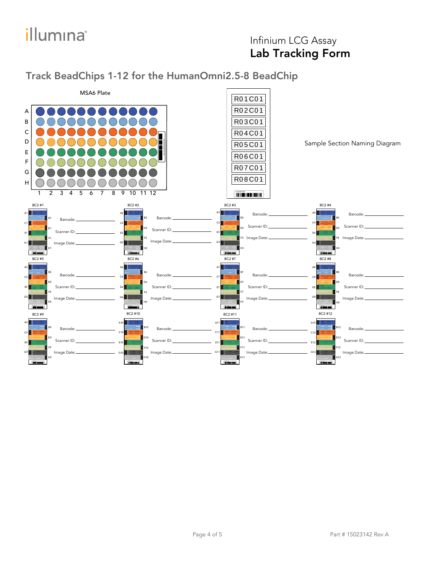# *illumina*<sup>®</sup>

## Infinium LCG Assay Lab Tracking Form

### Track BeadChips 1-12 for the HumanOmni2.5-8 BeadChip